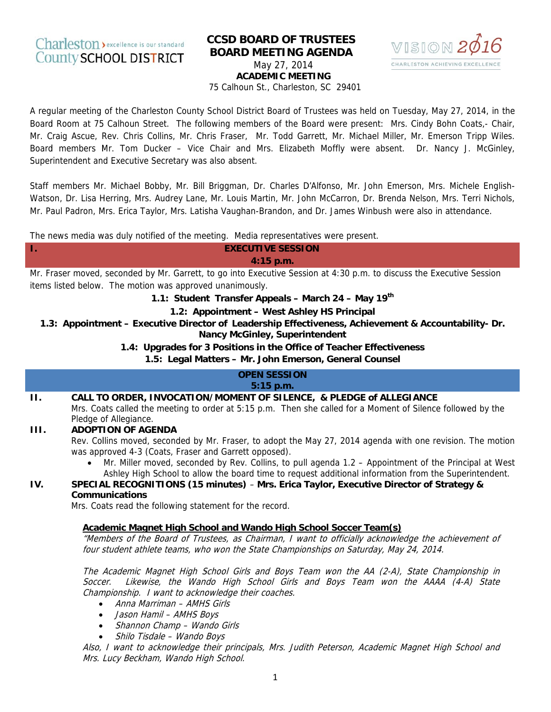# **CCSD BOARD OF TRUSTEES BOARD MEETING AGENDA** May 27, 2014 **ACADEMIC MEETING**



75 Calhoun St., Charleston, SC 29401

A regular meeting of the Charleston County School District Board of Trustees was held on Tuesday, May 27, 2014, in the Board Room at 75 Calhoun Street. The following members of the Board were present: Mrs. Cindy Bohn Coats,- Chair, Mr. Craig Ascue, Rev. Chris Collins, Mr. Chris Fraser, Mr. Todd Garrett, Mr. Michael Miller, Mr. Emerson Tripp Wiles. Board members Mr. Tom Ducker - Vice Chair and Mrs. Elizabeth Moffly were absent. Dr. Nancy J. McGinley, Superintendent and Executive Secretary was also absent.

Staff members Mr. Michael Bobby, Mr. Bill Briggman, Dr. Charles D'Alfonso, Mr. John Emerson, Mrs. Michele English-Watson, Dr. Lisa Herring, Mrs. Audrey Lane, Mr. Louis Martin, Mr. John McCarron, Dr. Brenda Nelson, Mrs. Terri Nichols, Mr. Paul Padron, Mrs. Erica Taylor, Mrs. Latisha Vaughan-Brandon, and Dr. James Winbush were also in attendance.

The news media was duly notified of the meeting. Media representatives were present.

#### **EXECUTIVE SESSION** 4:15 p.m.

Mr. Fraser moved, seconded by Mr. Garrett, to go into Executive Session at 4:30 p.m. to discuss the Executive Session items listed below. The motion was approved unanimously.

1.1: Student Transfer Appeals - March 24 - May 19th

1.2: Appointment - West Ashley HS Principal

1.3: Appointment – Executive Director of Leadership Effectiveness, Achievement & Accountability- Dr. **Nancy McGinley, Superintendent** 

1.4: Upgrades for 3 Positions in the Office of Teacher Effectiveness

1.5: Legal Matters - Mr. John Emerson, General Counsel

# **OPEN SESSION**

 $5:15$  p.m.

#### CALL TO ORDER, INVOCATION/MOMENT OF SILENCE, & PLEDGE of ALLEGIANCE  $\Pi$ .

Mrs. Coats called the meeting to order at 5:15 p.m. Then she called for a Moment of Silence followed by the Pledge of Allegiance.

#### III. **ADOPTION OF AGENDA**

Τ.

IV.

Rev. Collins moved, seconded by Mr. Fraser, to adopt the May 27, 2014 agenda with one revision. The motion was approved 4-3 (Coats, Fraser and Garrett opposed).

Mr. Miller moved, seconded by Rev. Collins, to pull agenda 1.2 – Appointment of the Principal at West Ashley High School to allow the board time to request additional information from the Superintendent.

# SPECIAL RECOGNITIONS (15 minutes) - Mrs. Erica Taylor, Executive Director of Strategy & **Communications**

Mrs. Coats read the following statement for the record.

#### Academic Magnet High School and Wando High School Soccer Team(s)

"Members of the Board of Trustees, as Chairman, I want to officially acknowledge the achievement of four student athlete teams, who won the State Championships on Saturday, May 24, 2014.

The Academic Magnet High School Girls and Boys Team won the AA (2-A), State Championship in Likewise, the Wando High School Girls and Boys Team won the AAAA (4-A) State Soccer. Championship. I want to acknowledge their coaches.

- Anna Marriman AMHS Girls
- Jason Hamil AMHS Boys
- Shannon Champ Wando Girls
- Shilo Tisdale Wando Boys

Also, I want to acknowledge their principals, Mrs. Judith Peterson, Academic Magnet High School and Mrs. Lucy Beckham, Wando High School.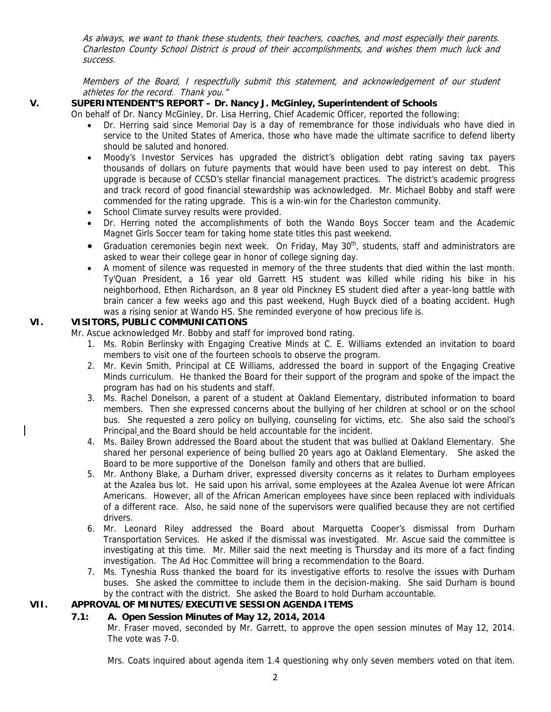As always, we want to thank these students, their teachers, coaches, and most especially their parents. Charleston County School District is proud of their accomplishments, and wishes them much luck and success.

Members of the Board, I respectfully submit this statement, and acknowledgement of our student athletes for the record. Thank you."

### **V. SUPERINTENDENT'S REPORT – Dr. Nancy J. McGinley, Superintendent of Schools**

On behalf of Dr. Nancy McGinley, Dr. Lisa Herring, Chief Academic Officer, reported the following:

- Dr. Herring said since Memorial Day is a day of remembrance for those individuals who have died in service to the United States of America, those who have made the ultimate sacrifice to defend liberty should be saluted and honored.
- Moody's Investor Services has upgraded the district's obligation debt rating saving tax payers thousands of dollars on future payments that would have been used to pay interest on debt. This upgrade is because of CCSD's stellar financial management practices. The district's academic progress and track record of good financial stewardship was acknowledged. Mr. Michael Bobby and staff were commended for the rating upgrade. This is a win-win for the Charleston community.
- School Climate survey results were provided.
- Dr. Herring noted the accomplishments of both the Wando Boys Soccer team and the Academic Magnet Girls Soccer team for taking home state titles this past weekend.
- Graduation ceremonies begin next week. On Friday, May  $30<sup>th</sup>$ , students, staff and administrators are asked to wear their college gear in honor of college signing day.
- A moment of silence was requested in memory of the three students that died within the last month. Ty'Quan President, a 16 year old Garrett HS student was killed while riding his bike in his neighborhood, Ethen Richardson, an 8 year old Pinckney ES student died after a year-long battle with brain cancer a few weeks ago and this past weekend, Hugh Buyck died of a boating accident. Hugh was a rising senior at Wando HS. She reminded everyone of how precious life is.

#### **VI. VISITORS, PUBLIC COMMUNICATIONS**

Mr. Ascue acknowledged Mr. Bobby and staff for improved bond rating.

- 1. Ms. Robin Berlinsky with Engaging Creative Minds at C. E. Williams extended an invitation to board members to visit one of the fourteen schools to observe the program.
- 2. Mr. Kevin Smith, Principal at CE Williams, addressed the board in support of the Engaging Creative Minds curriculum. He thanked the Board for their support of the program and spoke of the impact the program has had on his students and staff.
- 3. Ms. Rachel Donelson, a parent of a student at Oakland Elementary, distributed information to board members. Then she expressed concerns about the bullying of her children at school or on the school bus. She requested a zero policy on bullying, counseling for victims, etc. She also said the school's Principal and the Board should be held accountable for the incident.
- 4. Ms. Bailey Brown addressed the Board about the student that was bullied at Oakland Elementary. She shared her personal experience of being bullied 20 years ago at Oakland Elementary. She asked the Board to be more supportive of the Donelson family and others that are bullied.
- 5. Mr. Anthony Blake, a Durham driver, expressed diversity concerns as it relates to Durham employees at the Azalea bus lot. He said upon his arrival, some employees at the Azalea Avenue lot were African Americans. However, all of the African American employees have since been replaced with individuals of a different race. Also, he said none of the supervisors were qualified because they are not certified drivers.
- 6. Mr. Leonard Riley addressed the Board about Marquetta Cooper's dismissal from Durham Transportation Services. He asked if the dismissal was investigated. Mr. Ascue said the committee is investigating at this time. Mr. Miller said the next meeting is Thursday and its more of a fact finding investigation. The Ad Hoc Committee will bring a recommendation to the Board.
- 7. Ms. Tyneshia Russ thanked the board for its investigative efforts to resolve the issues with Durham buses. She asked the committee to include them in the decision-making. She said Durham is bound by the contract with the district. She asked the Board to hold Durham accountable.

# **VII. APPROVAL OF MINUTES/EXECUTIVE SESSION AGENDA ITEMS**

# **7.1: A. Open Session Minutes of May 12, 2014, 2014**

Mr. Fraser moved, seconded by Mr. Garrett, to approve the open session minutes of May 12, 2014. The vote was 7-0.

Mrs. Coats inquired about agenda item 1.4 questioning why only seven members voted on that item.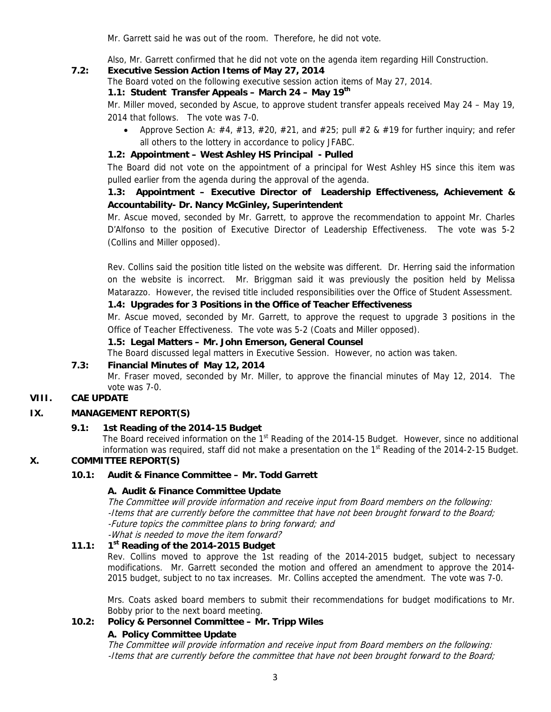Mr. Garrett said he was out of the room. Therefore, he did not vote.

Also, Mr. Garrett confirmed that he did not vote on the agenda item regarding Hill Construction.

# **7.2: Executive Session Action Items of May 27, 2014**

The Board voted on the following executive session action items of May 27, 2014.

# **1.1: Student Transfer Appeals – March 24 – May 19th**

Mr. Miller moved, seconded by Ascue, to approve student transfer appeals received May 24 – May 19, 2014 that follows. The vote was 7-0.

Approve Section A:  $\#4$ ,  $\#13$ ,  $\#20$ ,  $\#21$ , and  $\#25$ ; pull  $\#2$  &  $\#19$  for further inquiry; and refer all others to the lottery in accordance to policy JFABC.

# **1.2: Appointment – West Ashley HS Principal - Pulled**

The Board did not vote on the appointment of a principal for West Ashley HS since this item was pulled earlier from the agenda during the approval of the agenda.

# **1.3: Appointment – Executive Director of Leadership Effectiveness, Achievement & Accountability- Dr. Nancy McGinley, Superintendent**

Mr. Ascue moved, seconded by Mr. Garrett, to approve the recommendation to appoint Mr. Charles D'Alfonso to the position of Executive Director of Leadership Effectiveness. The vote was 5-2 (Collins and Miller opposed).

Rev. Collins said the position title listed on the website was different. Dr. Herring said the information on the website is incorrect. Mr. Briggman said it was previously the position held by Melissa Matarazzo. However, the revised title included responsibilities over the Office of Student Assessment.

# **1.4: Upgrades for 3 Positions in the Office of Teacher Effectiveness**

Mr. Ascue moved, seconded by Mr. Garrett, to approve the request to upgrade 3 positions in the Office of Teacher Effectiveness. The vote was 5-2 (Coats and Miller opposed).

**1.5: Legal Matters – Mr. John Emerson, General Counsel** 

The Board discussed legal matters in Executive Session. However, no action was taken.

### **7.3: Financial Minutes of May 12, 2014**

Mr. Fraser moved, seconded by Mr. Miller, to approve the financial minutes of May 12, 2014. The vote was 7-0.

### **VIII. CAE UPDATE**

#### **IX. MANAGEMENT REPORT(S)**

#### **9.1: 1st Reading of the 2014-15 Budget**

The Board received information on the 1<sup>st</sup> Reading of the 2014-15 Budget. However, since no additional information was required, staff did not make a presentation on the  $1<sup>st</sup>$  Reading of the 2014-2-15 Budget.

# **X. COMMITTEE REPORT(S)**

### **10.1: Audit & Finance Committee – Mr. Todd Garrett**

#### **A. Audit & Finance Committee Update**

The Committee will provide information and receive input from Board members on the following: -Items that are currently before the committee that have not been brought forward to the Board; -Future topics the committee plans to bring forward; and -What is needed to move the item forward?

#### **11.1: 1st Reading of the 2014-2015 Budget**

Rev. Collins moved to approve the 1st reading of the 2014-2015 budget, subject to necessary modifications. Mr. Garrett seconded the motion and offered an amendment to approve the 2014- 2015 budget, subject to no tax increases. Mr. Collins accepted the amendment. The vote was 7-0.

Mrs. Coats asked board members to submit their recommendations for budget modifications to Mr. Bobby prior to the next board meeting.

### **10.2: Policy & Personnel Committee – Mr. Tripp Wiles**

#### **A. Policy Committee Update**

The Committee will provide information and receive input from Board members on the following: -Items that are currently before the committee that have not been brought forward to the Board;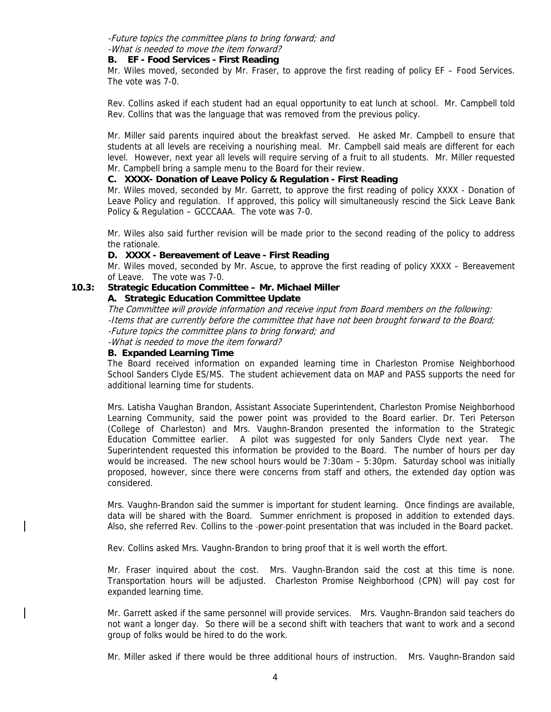#### -Future topics the committee plans to bring forward; and -What is needed to move the item forward?

#### **B. EF - Food Services - First Reading**

Mr. Wiles moved, seconded by Mr. Fraser, to approve the first reading of policy EF – Food Services. The vote was 7-0.

Rev. Collins asked if each student had an equal opportunity to eat lunch at school. Mr. Campbell told Rev. Collins that was the language that was removed from the previous policy.

Mr. Miller said parents inquired about the breakfast served. He asked Mr. Campbell to ensure that students at all levels are receiving a nourishing meal. Mr. Campbell said meals are different for each level. However, next year all levels will require serving of a fruit to all students. Mr. Miller requested Mr. Campbell bring a sample menu to the Board for their review.

### **C. XXXX- Donation of Leave Policy & Regulation - First Reading**

Mr. Wiles moved, seconded by Mr. Garrett, to approve the first reading of policy XXXX - Donation of Leave Policy and regulation. If approved, this policy will simultaneously rescind the Sick Leave Bank Policy & Regulation – GCCCAAA. The vote was 7-0.

Mr. Wiles also said further revision will be made prior to the second reading of the policy to address the rationale.

#### **D. XXXX - Bereavement of Leave - First Reading**

Mr. Wiles moved, seconded by Mr. Ascue, to approve the first reading of policy XXXX – Bereavement of Leave. The vote was 7-0.

#### **10.3: Strategic Education Committee – Mr. Michael Miller**

#### **A. Strategic Education Committee Update**

The Committee will provide information and receive input from Board members on the following: -Items that are currently before the committee that have not been brought forward to the Board; -Future topics the committee plans to bring forward; and -What is needed to move the item forward?

# **B. Expanded Learning Time**

The Board received information on expanded learning time in Charleston Promise Neighborhood School Sanders Clyde ES/MS. The student achievement data on MAP and PASS supports the need for additional learning time for students.

Mrs. Latisha Vaughan Brandon, Assistant Associate Superintendent, Charleston Promise Neighborhood Learning Community, said the power point was provided to the Board earlier. Dr. Teri Peterson (College of Charleston) and Mrs. Vaughn-Brandon presented the information to the Strategic Education Committee earlier. A pilot was suggested for only Sanders Clyde next year. The Superintendent requested this information be provided to the Board. The number of hours per day would be increased. The new school hours would be 7:30am – 5:30pm. Saturday school was initially proposed, however, since there were concerns from staff and others, the extended day option was considered.

Mrs. Vaughn-Brandon said the summer is important for student learning. Once findings are available, data will be shared with the Board. Summer enrichment is proposed in addition to extended days. Also, she referred Rev. Collins to the -power-point presentation that was included in the Board packet.

Rev. Collins asked Mrs. Vaughn-Brandon to bring proof that it is well worth the effort.

Mr. Fraser inquired about the cost. Mrs. Vaughn-Brandon said the cost at this time is none. Transportation hours will be adjusted. Charleston Promise Neighborhood (CPN) will pay cost for expanded learning time.

Mr. Garrett asked if the same personnel will provide services. Mrs. Vaughn-Brandon said teachers do not want a longer day. So there will be a second shift with teachers that want to work and a second group of folks would be hired to do the work.

Mr. Miller asked if there would be three additional hours of instruction. Mrs. Vaughn-Brandon said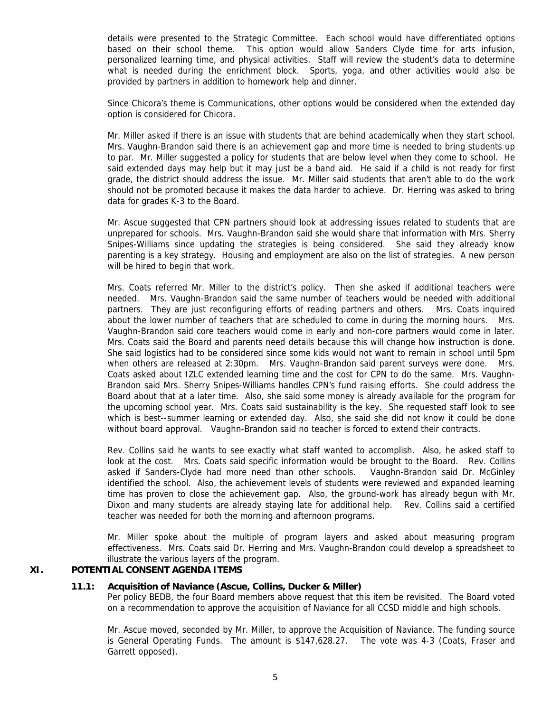details were presented to the Strategic Committee. Each school would have differentiated options based on their school theme. This option would allow Sanders Clyde time for arts infusion, personalized learning time, and physical activities. Staff will review the student's data to determine what is needed during the enrichment block. Sports, yoga, and other activities would also be provided by partners in addition to homework help and dinner.

Since Chicora's theme is Communications, other options would be considered when the extended day option is considered for Chicora.

Mr. Miller asked if there is an issue with students that are behind academically when they start school. Mrs. Vaughn-Brandon said there is an achievement gap and more time is needed to bring students up to par. Mr. Miller suggested a policy for students that are below level when they come to school. He said extended days may help but it may just be a band aid. He said if a child is not ready for first grade, the district should address the issue. Mr. Miller said students that aren't able to do the work should not be promoted because it makes the data harder to achieve. Dr. Herring was asked to bring data for grades K-3 to the Board.

Mr. Ascue suggested that CPN partners should look at addressing issues related to students that are unprepared for schools. Mrs. Vaughn-Brandon said she would share that information with Mrs. Sherry Snipes-Williams since updating the strategies is being considered. She said they already know parenting is a key strategy. Housing and employment are also on the list of strategies. A new person will be hired to begin that work.

Mrs. Coats referred Mr. Miller to the district's policy. Then she asked if additional teachers were needed. Mrs. Vaughn-Brandon said the same number of teachers would be needed with additional partners. They are just reconfiguring efforts of reading partners and others. Mrs. Coats inquired about the lower number of teachers that are scheduled to come in during the morning hours. Mrs. Vaughn-Brandon said core teachers would come in early and non-core partners would come in later. Mrs. Coats said the Board and parents need details because this will change how instruction is done. She said logistics had to be considered since some kids would not want to remain in school until 5pm when others are released at 2:30pm. Mrs. Vaughn-Brandon said parent surveys were done. Mrs. Coats asked about IZLC extended learning time and the cost for CPN to do the same. Mrs. Vaughn-Brandon said Mrs. Sherry Snipes-Williams handles CPN's fund raising efforts. She could address the Board about that at a later time. Also, she said some money is already available for the program for the upcoming school year. Mrs. Coats said sustainability is the key. She requested staff look to see which is best--summer learning or extended day. Also, she said she did not know it could be done without board approval. Vaughn-Brandon said no teacher is forced to extend their contracts.

Rev. Collins said he wants to see exactly what staff wanted to accomplish. Also, he asked staff to look at the cost. Mrs. Coats said specific information would be brought to the Board. Rev. Collins asked if Sanders-Clyde had more need than other schools. Vaughn-Brandon said Dr. McGinley identified the school. Also, the achievement levels of students were reviewed and expanded learning time has proven to close the achievement gap. Also, the ground-work has already begun with Mr. Dixon and many students are already staying late for additional help. Rev. Collins said a certified teacher was needed for both the morning and afternoon programs.

Mr. Miller spoke about the multiple of program layers and asked about measuring program effectiveness. Mrs. Coats said Dr. Herring and Mrs. Vaughn-Brandon could develop a spreadsheet to illustrate the various layers of the program.

#### **XI. POTENTIAL CONSENT AGENDA ITEMS**

#### **11.1: Acquisition of Naviance (Ascue, Collins, Ducker & Miller)**

Per policy BEDB, the four Board members above request that this item be revisited. The Board voted on a recommendation to approve the acquisition of Naviance for all CCSD middle and high schools.

Mr. Ascue moved, seconded by Mr. Miller, to approve the Acquisition of Naviance. The funding source is General Operating Funds. The amount is \$147,628.27. The vote was 4-3 (Coats, Fraser and Garrett opposed).